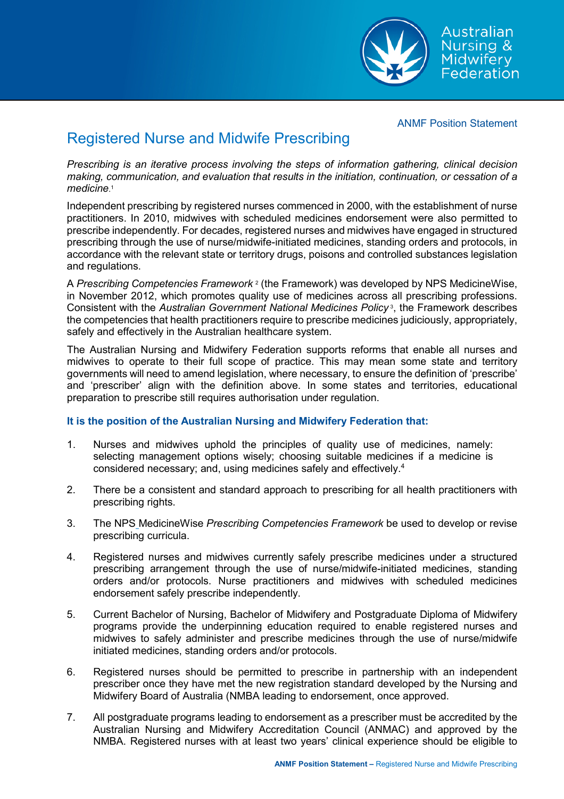Australian Nursing & Midwifery Federation

ANMF Position Statement

# Registered Nurse and Midwife Prescribing

*Prescribing is an iterative process involving the steps of information gathering, clinical decision making, communication, and evaluation that results in the initiation, continuation, or cessation of a medicine*. 1

Independent prescribing by registered nurses commenced in 2000, with the establishment of nurse practitioners. In 2010, midwives with scheduled medicines endorsement were also permitted to prescribe independently. For decades, registered nurses and midwives have engaged in structured prescribing through the use of nurse/midwife-initiated medicines, standing orders and protocols, in accordance with the relevant state or territory drugs, poisons and controlled substances legislation and regulations.

A *Prescribing Competencies Framework* <sup>2</sup> (the Framework) was developed by NPS MedicineWise, in November 2012, which promotes quality use of medicines across all prescribing professions. Consistent with the *Australian Government National Medicines Policy* 3, the Framework describes the competencies that health practitioners require to prescribe medicines judiciously, appropriately, safely and effectively in the Australian healthcare system.

The Australian Nursing and Midwifery Federation supports reforms that enable all nurses and midwives to operate to their full scope of practice. This may mean some state and territory governments will need to amend legislation, where necessary, to ensure the definition of 'prescribe' and 'prescriber' align with the definition above. In some states and territories, educational preparation to prescribe still requires authorisation under regulation.

## **It is the position of the Australian Nursing and Midwifery Federation that:**

- 1. Nurses and midwives uphold the principles of quality use of medicines, namely: selecting management options wisely; choosing suitable medicines if a medicine is considered necessary; and, using medicines safely and effectively. 4
- 2. There be a consistent and standard approach to prescribing for all health practitioners with prescribing rights.
- 3. The NPS MedicineWise *Prescribing Competencies Framework* be used to develop or revise prescribing curricula.
- 4. Registered nurses and midwives currently safely prescribe medicines under a structured prescribing arrangement through the use of nurse/midwife-initiated medicines, standing orders and/or protocols. Nurse practitioners and midwives with scheduled medicines endorsement safely prescribe independently.
- 5. Current Bachelor of Nursing, Bachelor of Midwifery and Postgraduate Diploma of Midwifery programs provide the underpinning education required to enable registered nurses and midwives to safely administer and prescribe medicines through the use of nurse/midwife initiated medicines, standing orders and/or protocols.
- 6. Registered nurses should be permitted to prescribe in partnership with an independent prescriber once they have met the new registration standard developed by the Nursing and Midwifery Board of Australia (NMBA leading to endorsement, once approved.
- 7. All postgraduate programs leading to endorsement as a prescriber must be accredited by the Australian Nursing and Midwifery Accreditation Council (ANMAC) and approved by the NMBA. Registered nurses with at least two years' clinical experience should be eligible to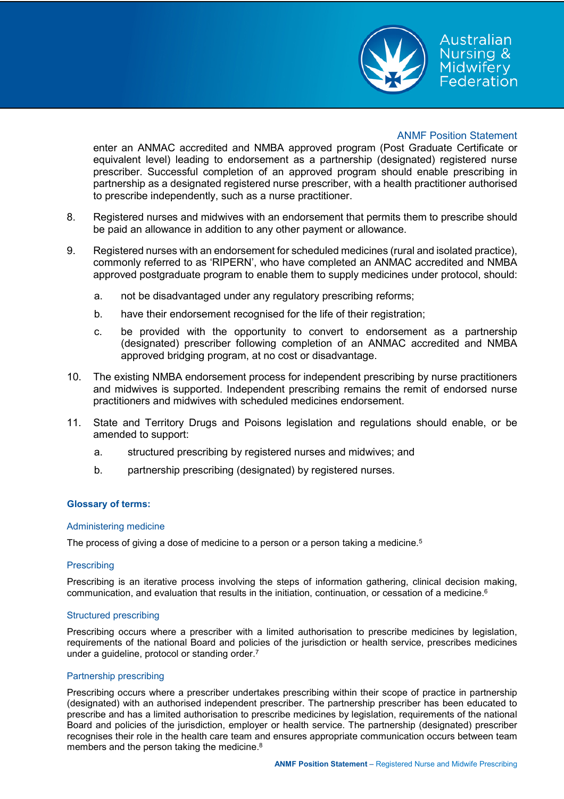

## ANMF Position Statement

Australian Nursing & Midwiferv Federation

enter an ANMAC accredited and NMBA approved program (Post Graduate Certificate or equivalent level) leading to endorsement as a partnership (designated) registered nurse prescriber. Successful completion of an approved program should enable prescribing in partnership as a designated registered nurse prescriber, with a health practitioner authorised to prescribe independently, such as a nurse practitioner.

- 8. Registered nurses and midwives with an endorsement that permits them to prescribe should be paid an allowance in addition to any other payment or allowance.
- 9. Registered nurses with an endorsement for scheduled medicines (rural and isolated practice), commonly referred to as 'RIPERN', who have completed an ANMAC accredited and NMBA approved postgraduate program to enable them to supply medicines under protocol, should:
	- a. not be disadvantaged under any regulatory prescribing reforms;
	- b. have their endorsement recognised for the life of their registration;
	- c. be provided with the opportunity to convert to endorsement as a partnership (designated) prescriber following completion of an ANMAC accredited and NMBA approved bridging program, at no cost or disadvantage.
- 10. The existing NMBA endorsement process for independent prescribing by nurse practitioners and midwives is supported. Independent prescribing remains the remit of endorsed nurse practitioners and midwives with scheduled medicines endorsement.
- 11. State and Territory Drugs and Poisons legislation and regulations should enable, or be amended to support:
	- a. structured prescribing by registered nurses and midwives; and
	- b. partnership prescribing (designated) by registered nurses.

### **Glossary of terms:**

### Administering medicine

The process of giving a dose of medicine to a person or a person taking a medicine.<sup>5</sup>

#### **Prescribing**

Prescribing is an iterative process involving the steps of information gathering, clinical decision making, communication, and evaluation that results in the initiation, continuation, or cessation of a medicine. $^{\rm 6}$ 

### Structured prescribing

Prescribing occurs where a prescriber with a limited authorisation to prescribe medicines by legislation, requirements of the national Board and policies of the jurisdiction or health service, prescribes medicines under a guideline, protocol or standing order. $^7$ 

### Partnership prescribing

Prescribing occurs where a prescriber undertakes prescribing within their scope of practice in partnership (designated) with an authorised independent prescriber. The partnership prescriber has been educated to prescribe and has a limited authorisation to prescribe medicines by legislation, requirements of the national Board and policies of the jurisdiction, employer or health service. The partnership (designated) prescriber recognises their role in the health care team and ensures appropriate communication occurs between team members and the person taking the medicine. $^8$